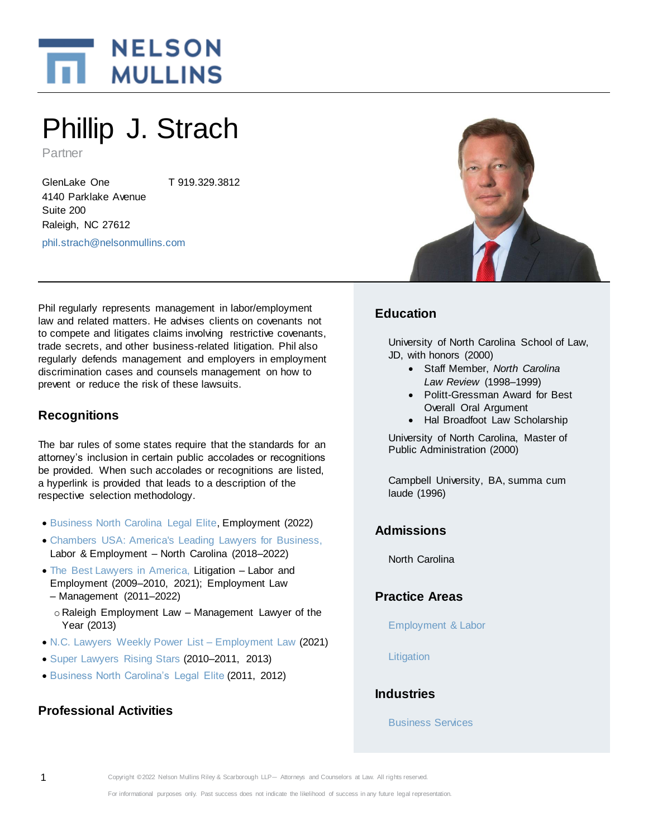

# Phillip J. Strach

Partner

GlenLake One 4140 Parklake Avenue Suite 200 Raleigh, NC 27612 T 919.329.3812 [phil.strach@nelsonmullins.com](mailto:phil.strach@nelsonmullins.com) 

Phil regularly represents management in labor/employment law and related matters. He advises clients on covenants not to compete and litigates claims involving restrictive covenants, trade secrets, and other business-related litigation. Phil also regularly defends management and employers in employment discrimination cases and counsels management on how to prevent or reduce the risk of these lawsuits.

# **Recognitions**

The bar rules of some states require that the standards for an attorney's inclusion in certain public accolades or recognitions be provided. When such accolades or recognitions are listed, a hyperlink is provided that leads to a description of the respective selection methodology.

- [Business North Carolina Legal Elite,](https://businessnc.com/special-sections/legal-elite/) Employment (2022)
- [Chambers USA: America's Leading Lawyers for Business,](https://chambers.com/about-us/methodology) Labor & Employment – North Carolina (2018–2022)
- [The Best Lawyers in America,](https://www.bestlawyers.com/methodology) Litigation Labor and Employment (2009–2010, 2021); Employment Law – Management (2011–2022)
	- o Raleigh Employment Law Management Lawyer of the Year (2013)
- [N.C. Lawyers Weekly Power List](https://www.nelsonmullins.com/storage/SQzF5RrBmczh8J5FlWINqsEVb4OToLDhzzGsvimW.pdf) Employment Law (2021)
- [Super Lawyers Rising Stars](https://www.superlawyers.com/about/selection_process.html) (2010–2011, 2013)
- [Business North Carolina's Legal Elite](https://businessnc.com/special-sections/legal-elite/) (2011, 2012)

# **Professional Activities**



# **Education**

University of North Carolina School of Law, JD, with honors (2000)

- Staff Member, *North Carolina Law Review* (1998–1999)
- Politt-Gressman Award for Best Overall Oral Argument
- Hal Broadfoot Law Scholarship

University of North Carolina, Master of Public Administration (2000)

Campbell University, BA, summa cum laude (1996)

# **Admissions**

North Carolina

## **Practice Areas**

[Employment & Labor](https://www.nelsonmullins.com/capabilities/employment_and_labor)

**[Litigation](https://www.nelsonmullins.com/capabilities/litigation)** 

# **Industries**

[Business Services](https://www.nelsonmullins.com/capabilities/business_services_industry)

1 Copyright ©2022 Nelson Mullins Riley & Scarborough LLP— Attorneys and Counselors at Law. All rights reserved.

For informational purposes only. Past success does not indicate the likelihood of success in any future legal representation.